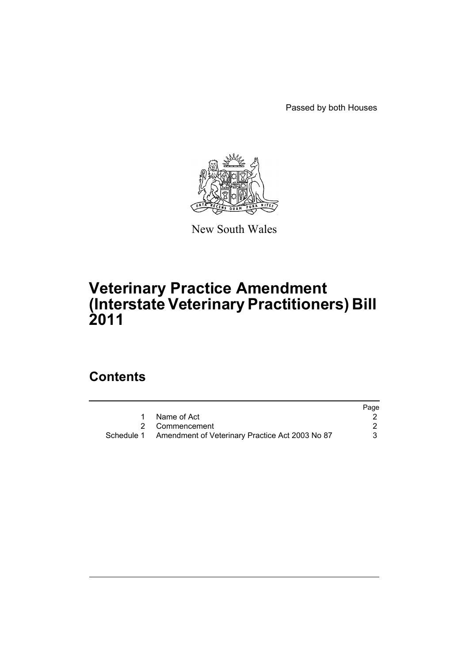Passed by both Houses



New South Wales

# **Veterinary Practice Amendment (Interstate Veterinary Practitioners) Bill 2011**

# **Contents**

|                                                            | Page |
|------------------------------------------------------------|------|
| 1 Name of Act                                              |      |
| 2 Commencement                                             |      |
| Schedule 1 Amendment of Veterinary Practice Act 2003 No 87 |      |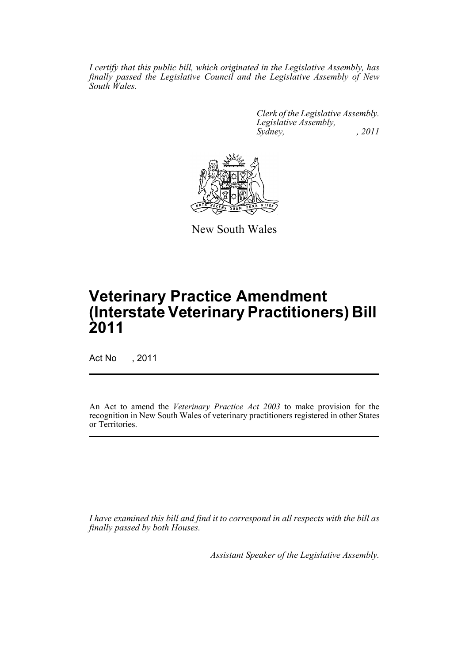*I certify that this public bill, which originated in the Legislative Assembly, has finally passed the Legislative Council and the Legislative Assembly of New South Wales.*

> *Clerk of the Legislative Assembly. Legislative Assembly, Sydney, , 2011*



New South Wales

# **Veterinary Practice Amendment (Interstate Veterinary Practitioners) Bill 2011**

Act No , 2011

An Act to amend the *Veterinary Practice Act 2003* to make provision for the recognition in New South Wales of veterinary practitioners registered in other States or Territories.

*I have examined this bill and find it to correspond in all respects with the bill as finally passed by both Houses.*

*Assistant Speaker of the Legislative Assembly.*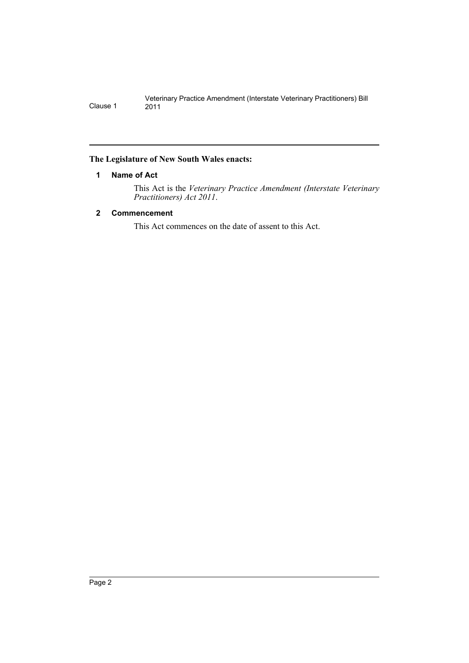# <span id="page-3-0"></span>**The Legislature of New South Wales enacts:**

# **1 Name of Act**

This Act is the *Veterinary Practice Amendment (Interstate Veterinary Practitioners) Act 2011*.

# <span id="page-3-1"></span>**2 Commencement**

This Act commences on the date of assent to this Act.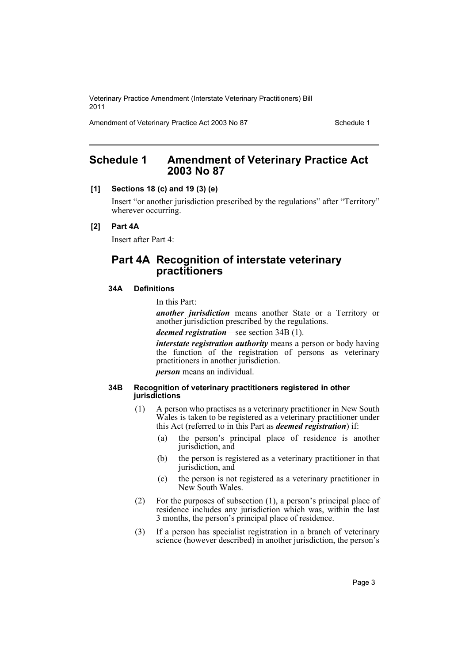Amendment of Veterinary Practice Act 2003 No 87 Schedule 1

# <span id="page-4-0"></span>**Schedule 1 Amendment of Veterinary Practice Act 2003 No 87**

#### **[1] Sections 18 (c) and 19 (3) (e)**

Insert "or another jurisdiction prescribed by the regulations" after "Territory" wherever occurring.

#### **[2] Part 4A**

Insert after Part 4:

# **Part 4A Recognition of interstate veterinary practitioners**

# **34A Definitions**

In this Part:

*another jurisdiction* means another State or a Territory or another jurisdiction prescribed by the regulations.

*deemed registration*—see section 34B (1).

*interstate registration authority* means a person or body having the function of the registration of persons as veterinary practitioners in another jurisdiction.

*person* means an individual.

#### **34B Recognition of veterinary practitioners registered in other jurisdictions**

- (1) A person who practises as a veterinary practitioner in New South Wales is taken to be registered as a veterinary practitioner under this Act (referred to in this Part as *deemed registration*) if:
	- (a) the person's principal place of residence is another jurisdiction, and
	- (b) the person is registered as a veterinary practitioner in that jurisdiction, and
	- (c) the person is not registered as a veterinary practitioner in New South Wales.
- (2) For the purposes of subsection (1), a person's principal place of residence includes any jurisdiction which was, within the last 3 months, the person's principal place of residence.
- (3) If a person has specialist registration in a branch of veterinary science (however described) in another jurisdiction, the person's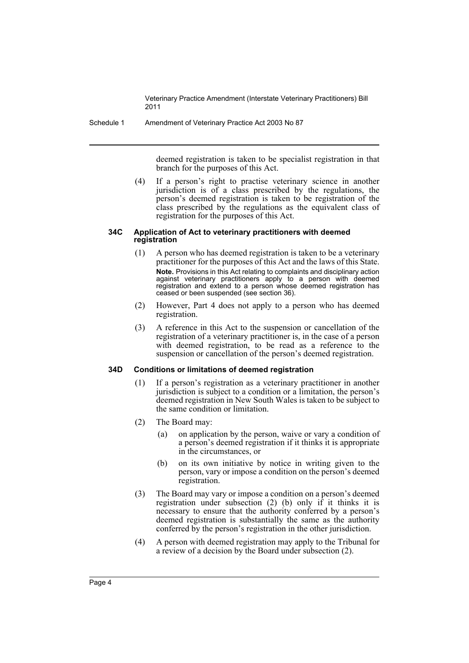Schedule 1 Amendment of Veterinary Practice Act 2003 No 87

deemed registration is taken to be specialist registration in that branch for the purposes of this Act.

(4) If a person's right to practise veterinary science in another jurisdiction is of a class prescribed by the regulations, the person's deemed registration is taken to be registration of the class prescribed by the regulations as the equivalent class of registration for the purposes of this Act.

#### **34C Application of Act to veterinary practitioners with deemed registration**

- (1) A person who has deemed registration is taken to be a veterinary practitioner for the purposes of this Act and the laws of this State. **Note.** Provisions in this Act relating to complaints and disciplinary action against veterinary practitioners apply to a person with deemed registration and extend to a person whose deemed registration has ceased or been suspended (see section 36).
- (2) However, Part 4 does not apply to a person who has deemed registration.
- (3) A reference in this Act to the suspension or cancellation of the registration of a veterinary practitioner is, in the case of a person with deemed registration, to be read as a reference to the suspension or cancellation of the person's deemed registration.

## **34D Conditions or limitations of deemed registration**

- (1) If a person's registration as a veterinary practitioner in another jurisdiction is subject to a condition or a limitation, the person's deemed registration in New South Wales is taken to be subject to the same condition or limitation.
- (2) The Board may:
	- (a) on application by the person, waive or vary a condition of a person's deemed registration if it thinks it is appropriate in the circumstances, or
	- (b) on its own initiative by notice in writing given to the person, vary or impose a condition on the person's deemed registration.
- (3) The Board may vary or impose a condition on a person's deemed registration under subsection (2) (b) only if it thinks it is necessary to ensure that the authority conferred by a person's deemed registration is substantially the same as the authority conferred by the person's registration in the other jurisdiction.
- (4) A person with deemed registration may apply to the Tribunal for a review of a decision by the Board under subsection (2).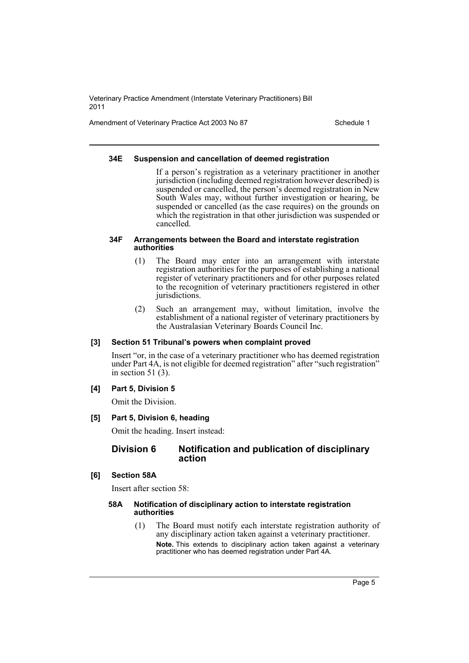Amendment of Veterinary Practice Act 2003 No 87 Schedule 1

#### **34E Suspension and cancellation of deemed registration**

If a person's registration as a veterinary practitioner in another jurisdiction (including deemed registration however described) is suspended or cancelled, the person's deemed registration in New South Wales may, without further investigation or hearing, be suspended or cancelled (as the case requires) on the grounds on which the registration in that other jurisdiction was suspended or cancelled.

#### **34F Arrangements between the Board and interstate registration authorities**

- (1) The Board may enter into an arrangement with interstate registration authorities for the purposes of establishing a national register of veterinary practitioners and for other purposes related to the recognition of veterinary practitioners registered in other jurisdictions.
- (2) Such an arrangement may, without limitation, involve the establishment of a national register of veterinary practitioners by the Australasian Veterinary Boards Council Inc.

## **[3] Section 51 Tribunal's powers when complaint proved**

Insert "or, in the case of a veterinary practitioner who has deemed registration under Part 4A, is not eligible for deemed registration" after "such registration" in section 51 (3).

## **[4] Part 5, Division 5**

Omit the Division.

## **[5] Part 5, Division 6, heading**

Omit the heading. Insert instead:

## **Division 6 Notification and publication of disciplinary action**

## **[6] Section 58A**

Insert after section 58:

#### **58A Notification of disciplinary action to interstate registration authorities**

(1) The Board must notify each interstate registration authority of any disciplinary action taken against a veterinary practitioner. **Note.** This extends to disciplinary action taken against a veterinary practitioner who has deemed registration under Part 4A.